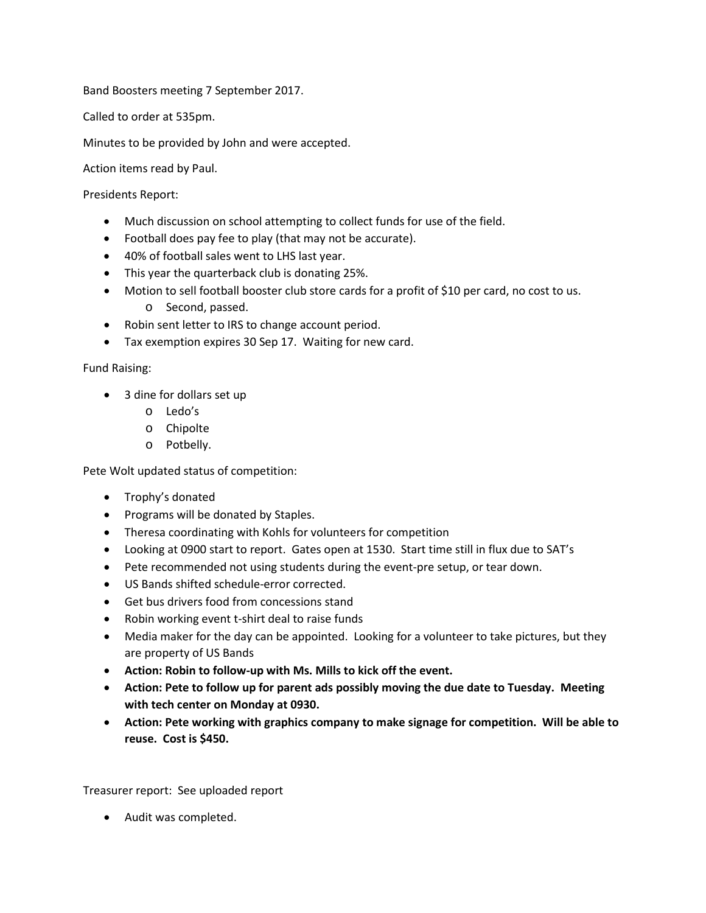Band Boosters meeting 7 September 2017.

Called to order at 535pm.

Minutes to be provided by John and were accepted.

Action items read by Paul.

Presidents Report:

- Much discussion on school attempting to collect funds for use of the field.
- Football does pay fee to play (that may not be accurate).
- 40% of football sales went to LHS last year.
- This year the quarterback club is donating 25%.
- Motion to sell football booster club store cards for a profit of \$10 per card, no cost to us. o Second, passed.
- Robin sent letter to IRS to change account period.
- Tax exemption expires 30 Sep 17. Waiting for new card.

Fund Raising:

- 3 dine for dollars set up
	- o Ledo's
	- o Chipolte
	- o Potbelly.

Pete Wolt updated status of competition:

- Trophy's donated
- Programs will be donated by Staples.
- Theresa coordinating with Kohls for volunteers for competition
- Looking at 0900 start to report. Gates open at 1530. Start time still in flux due to SAT's
- Pete recommended not using students during the event-pre setup, or tear down.
- US Bands shifted schedule-error corrected.
- Get bus drivers food from concessions stand
- Robin working event t-shirt deal to raise funds
- Media maker for the day can be appointed. Looking for a volunteer to take pictures, but they are property of US Bands
- **Action: Robin to follow-up with Ms. Mills to kick off the event.**
- **Action: Pete to follow up for parent ads possibly moving the due date to Tuesday. Meeting with tech center on Monday at 0930.**
- **Action: Pete working with graphics company to make signage for competition. Will be able to reuse. Cost is \$450.**

Treasurer report: See uploaded report

• Audit was completed.